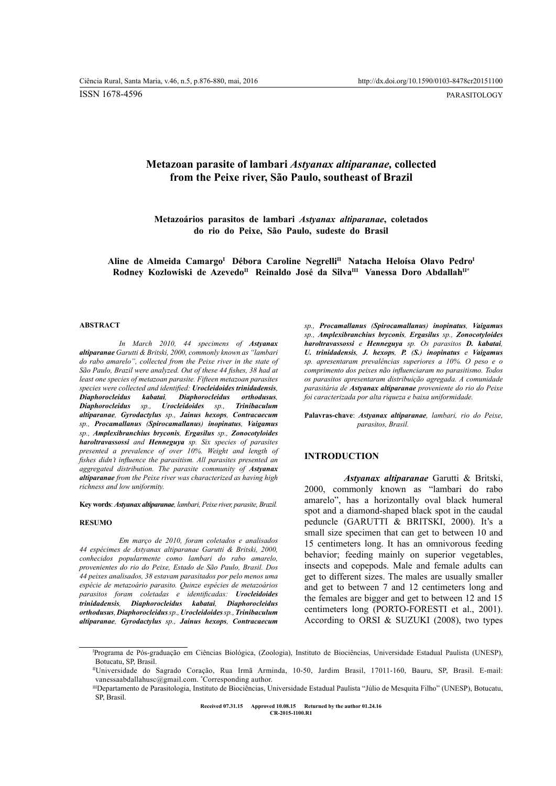ISSN 1678-4596

PARASITOLOGY

# **Metazoan parasite of lambari** *Astyanax altiparanae,* **collected from the Peixe river, São Paulo, southeast of Brazil**

**Metazoários parasitos de lambari** *Astyanax altiparanae***, coletados do rio do Peixe, São Paulo, sudeste do Brasil**

**Aline de Almeida CamargoI Débora Caroline NegrelliII Natacha Heloísa Olavo PedroI** Rodney Kozlowiski de Azevedo<sup>n</sup> Reinaldo José da Silva<sup>III</sup> Vanessa Doro Abdallah<sup>II\*</sup>

#### **ABSTRACT**

*In March 2010, 44 specimens of Astyanax altiparanae Garutti & Britski, 2000, commonly known as "lambari do rabo amarelo", collected from the Peixe river in the state of São Paulo, Brazil were analyzed. Out of these 44 fishes, 38 had at least one species of metazoan parasite. Fifteen metazoan parasites species were collected and identified: Urocleidoides trinidadensis, Diaphorocleidus kabatai, Diaphorocleidus orthodusus, Diaphorocleidus sp., Urocleidoides sp., Trinibaculum altiparanae, Gyrodactylus sp., Jainus hexops, Contracaecum sp., Procamallanus (Spirocamallanus) inopinatus, Vaigamus sp., Amplexibranchius bryconis, Ergasilus sp., Zonocotyloides haroltravassossi and Henneguya sp. Six species of parasites presented a prevalence of over 10%. Weight and length of fishes didn't influence the parasitism. All parasites presented an aggregated distribution. The parasite community of <i>Astyanax altiparanae from the Peixe river was characterized as having high richness and low uniformity.*

**Key words**: *Astyanax altiparanae, lambari, Peixe river, parasite, Brazil.*

#### **RESUMO**

*Em março de 2010, foram coletados e analisados 44 espécimes de Astyanax altiparanae Garutti & Britski, 2000, conhecidos popularmente como lambari do rabo amarelo, provenientes do rio do Peixe, Estado de São Paulo, Brasil. Dos 44 peixes analisados, 38 estavam parasitados por pelo menos uma espécie de metazoário parasito. Quinze espécies de metazoários parasitos foram coletadas e identificadas: Urocleidoides trinidadensis, Diaphorocleidus kabatai, Diaphorocleidus orthodusus, Diaphorocleidus sp., Urocleidoides sp., Trinibaculum altiparanae, Gyrodactylus sp., Jainus hexops, Contracaecum*

*sp., Procamallanus (Spirocamallanus) inopinatus, Vaigamus sp., Amplexibranchius bryconis, Ergasilus sp., Zonocotyloides haroltravassossi e Henneguya sp. Os parasitos D. kabatai, U. trinidadensis, J. hexops, P. (S.) inopinatus e Vaigamus sp. apresentaram prevalências superiores a 10%. O peso e o comprimento dos peixes não influenciaram no parasitismo. Todos os parasitos apresentaram distribuição agregada. A comunidade parasitária de Astyanax altiparanae proveniente do rio do Peixe foi caracterizada por alta riqueza e baixa uniformidade.*

**Palavras-chave**: *Astyanax altiparanae, lambari, rio do Peixe, parasitos, Brasil.*

## **INTRODUCTION**

*Astyanax altiparanae* Garutti & Britski, 2000, commonly known as "lambari do rabo amarelo", has a horizontally oval black humeral spot and a diamond-shaped black spot in the caudal peduncle (GARUTTI & BRITSKI, 2000). It's a small size specimen that can get to between 10 and 15 centimeters long. It has an omnivorous feeding behavior; feeding mainly on superior vegetables, insects and copepods. Male and female adults can get to different sizes. The males are usually smaller and get to between 7 and 12 centimeters long and the females are bigger and get to between 12 and 15 centimeters long (PORTO-FORESTI et al., 2001). According to ORSI & SUZUKI (2008), two types

**Ciência Rural, v.46, n.5, mai, 2016. Received 07.31.15 Approved 10.08.15 Returned by the author 01.24.16 CR-2015-1100.R1**

I Programa de Pós-graduação em Ciências Biológica, (Zoologia), Instituto de Biociências, Universidade Estadual Paulista (UNESP), Botucatu, SP, Brasil.

IIUniversidade do Sagrado Coração, Rua Irmã Arminda, 10-50, Jardim Brasil, 17011-160, Bauru, SP, Brasil. E-mail: vanessaabdallahusc@gmail.com. \* Corresponding author.

IIIDepartamento de Parasitologia, Instituto de Biociências, Universidade Estadual Paulista "Júlio de Mesquita Filho" (UNESP), Botucatu, SP, Brasil.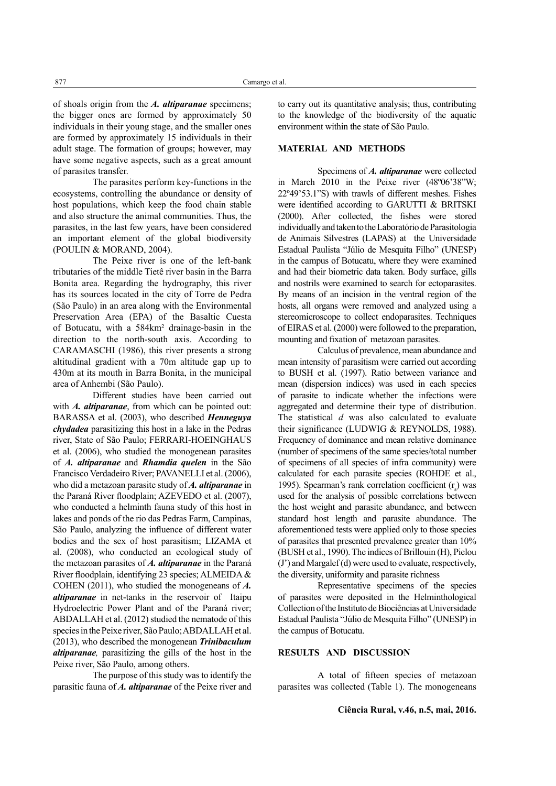of shoals origin from the *A. altiparanae* specimens; the bigger ones are formed by approximately 50 individuals in their young stage, and the smaller ones are formed by approximately 15 individuals in their adult stage. The formation of groups; however, may have some negative aspects, such as a great amount of parasites transfer.

The parasites perform key-functions in the ecosystems, controlling the abundance or density of host populations, which keep the food chain stable and also structure the animal communities. Thus, the parasites, in the last few years, have been considered an important element of the global biodiversity (POULIN & MORAND, 2004).

The Peixe river is one of the left-bank tributaries of the middle Tietê river basin in the Barra Bonita area. Regarding the hydrography, this river has its sources located in the city of Torre de Pedra (São Paulo) in an area along with the Environmental Preservation Area (EPA) of the Basaltic Cuesta of Botucatu, with a 584km² drainage-basin in the direction to the north-south axis. According to CARAMASCHI (1986), this river presents a strong altitudinal gradient with a 70m altitude gap up to 430m at its mouth in Barra Bonita, in the municipal area of Anhembi (São Paulo).

Different studies have been carried out with *A. altiparanae*, from which can be pointed out: BARASSA et al. (2003), who described *Henneguya chydadea* parasitizing this host in a lake in the Pedras river, State of São Paulo; FERRARI-HOEINGHAUS et al. (2006), who studied the monogenean parasites of *A. altiparanae* and *Rhamdia quelen* in the São Francisco Verdadeiro River; PAVANELLI et al. (2006), who did a metazoan parasite study of *A. altiparanae* in the Paraná River floodplain; AZEVEDO et al. (2007), who conducted a helminth fauna study of this host in lakes and ponds of the rio das Pedras Farm, Campinas, São Paulo, analyzing the influence of different water bodies and the sex of host parasitism; LIZAMA et al. (2008), who conducted an ecological study of the metazoan parasites of *A. altiparanae* in the Paraná River floodplain, identifying 23 species; ALMEIDA & COHEN (2011), who studied the monogeneans of *A. altiparanae* in net-tanks in the reservoir of Itaipu Hydroelectric Power Plant and of the Paraná river; ABDALLAH et al. (2012) studied the nematode of this species in the Peixe river, São Paulo; ABDALLAH et al. (2013), who described the monogenean *Trinibaculum altiparanae,* parasitizing the gills of the host in the Peixe river, São Paulo, among others.

The purpose of this study was to identify the parasitic fauna of *A. altiparanae* of the Peixe river and to carry out its quantitative analysis; thus, contributing to the knowledge of the biodiversity of the aquatic environment within the state of São Paulo.

## **MATERIAL AND METHODS**

Specimens of *A. altiparanae* were collected in March 2010 in the Peixe river (48º06'38"W; 22º49'53.1"S) with trawls of different meshes. Fishes were identified according to GARUTTI & BRITSKI (2000). After collected, the fishes were stored individually and taken to the Laboratório de Parasitologia de Animais Silvestres (LAPAS) at the Universidade Estadual Paulista "Júlio de Mesquita Filho" (UNESP) in the campus of Botucatu, where they were examined and had their biometric data taken. Body surface, gills and nostrils were examined to search for ectoparasites. By means of an incision in the ventral region of the hosts, all organs were removed and analyzed using a stereomicroscope to collect endoparasites. Techniques of EIRAS et al. (2000) were followed to the preparation, mounting and fixation of metazoan parasites.

Calculus of prevalence, mean abundance and mean intensity of parasitism were carried out according to BUSH et al. (1997). Ratio between variance and mean (dispersion indices) was used in each species of parasite to indicate whether the infections were aggregated and determine their type of distribution. The statistical *d* was also calculated to evaluate their significance (LUDWIG & REYNOLDS, 1988). Frequency of dominance and mean relative dominance (number of specimens of the same species/total number of specimens of all species of infra community) were calculated for each parasite species (ROHDE et al., 1995). Spearman's rank correlation coefficient  $(r<sub>s</sub>)$  was used for the analysis of possible correlations between the host weight and parasite abundance, and between standard host length and parasite abundance. The aforementioned tests were applied only to those species of parasites that presented prevalence greater than 10% (BUSH et al., 1990). The indices of Brillouin (H), Pielou (J') and Margalef (d) were used to evaluate, respectively, the diversity, uniformity and parasite richness

Representative specimens of the species of parasites were deposited in the Helminthological Collection of the Instituto de Biociências at Universidade Estadual Paulista "Júlio de Mesquita Filho" (UNESP) in the campus of Botucatu.

### **RESULTS AND DISCUSSION**

A total of fifteen species of metazoan parasites was collected (Table 1). The monogeneans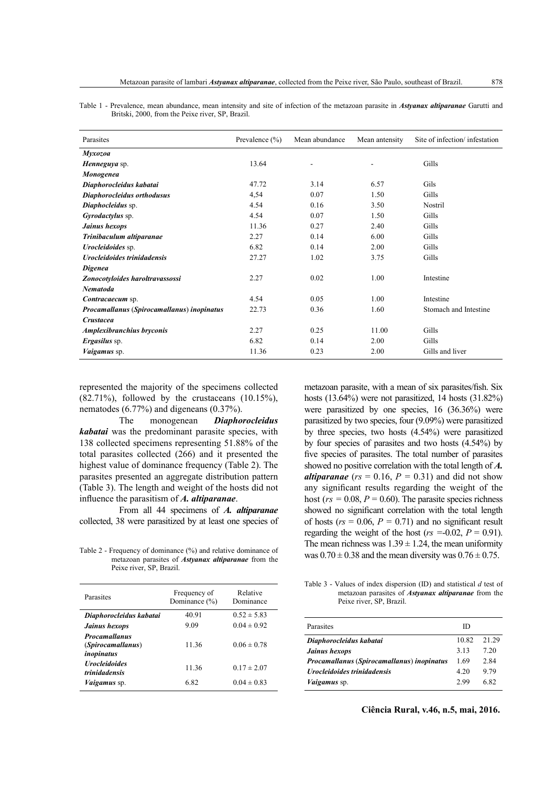|  | Table 1 - Prevalence, mean abundance, mean intensity and site of infection of the metazoan parasite in <i>Astyanax altiparanae</i> Garutti and |  |  |  |  |  |
|--|------------------------------------------------------------------------------------------------------------------------------------------------|--|--|--|--|--|
|  | Britski, 2000, from the Peixe river, SP, Brazil.                                                                                               |  |  |  |  |  |

| Parasites                                  | Prevalence $(\% )$ | Mean abundance | Mean antensity | Site of infection/infestation |
|--------------------------------------------|--------------------|----------------|----------------|-------------------------------|
| Myxozoa                                    |                    |                |                |                               |
| Henneguya sp.                              | 13.64              |                |                | Gills                         |
| Monogenea                                  |                    |                |                |                               |
| Diaphorocleidus kabatai                    | 47.72              | 3.14           | 6.57           | Gils                          |
| Diaphorocleidus orthodusus                 | 4,54               | 0.07           | 1.50           | Gills                         |
| Diaphocleidus sp.                          | 4.54               | 0.16           | 3.50           | Nostril                       |
| Gyrodactylus sp.                           | 4.54               | 0.07           | 1.50           | Gills                         |
| Jainus hexops                              | 11.36              | 0.27           | 2.40           | Gills                         |
| Trinibaculum altiparanae                   | 2.27               | 0.14           | 6.00           | Gills                         |
| <i>Urocleidoides</i> sp.                   | 6.82               | 0.14           | 2.00           | Gills                         |
| <b>Urocleidoides trinidadensis</b>         | 27.27              | 1.02           | 3.75           | Gills                         |
| <b>Digenea</b>                             |                    |                |                |                               |
| Zonocotyloides haroltravassossi            | 2.27               | 0.02           | 1.00           | Intestine                     |
| <b>Nematoda</b>                            |                    |                |                |                               |
| Contracaecum sp.                           | 4.54               | 0.05           | 1.00           | Intestine                     |
| Procamallanus (Spirocamallanus) inopinatus | 22.73              | 0.36           | 1.60           | Stomach and Intestine         |
| <b>Crustacea</b>                           |                    |                |                |                               |
| Amplexibranchius bryconis                  | 2.27               | 0.25           | 11.00          | Gills                         |
| <i>Ergasilus</i> sp.                       | 6.82               | 0.14           | 2.00           | Gills                         |
| <i>Vaigamus</i> sp.                        | 11.36              | 0.23           | 2.00           | Gills and liver               |

represented the majority of the specimens collected  $(82.71\%)$ , followed by the crustaceans  $(10.15\%)$ , nematodes (6.77%) and digeneans (0.37%).

The monogenean *Diaphorocleidus kabatai* was the predominant parasite species, with 138 collected specimens representing 51.88% of the total parasites collected (266) and it presented the highest value of dominance frequency (Table 2). The parasites presented an aggregate distribution pattern (Table 3). The length and weight of the hosts did not influence the parasitism of *A. altiparanae*.

From all 44 specimens of *A. altiparanae* collected, 38 were parasitized by at least one species of

metazoan parasites of *Astyanax altiparanae* from the Peixe river, SP, Brazil.

| Parasites                                                      | Frequency of<br>Dominance $(\% )$ | Relative<br>Dominance |  |  |
|----------------------------------------------------------------|-----------------------------------|-----------------------|--|--|
| Diaphorocleidus kabatai                                        | 40.91                             | $0.52 \pm 5.83$       |  |  |
| Jainus hexops                                                  | 9.09                              | $0.04 \pm 0.92$       |  |  |
| <b>Procamallanus</b><br><i>(Spirocamallanus)</i><br>inopinatus | 11.36                             | $0.06 \pm 0.78$       |  |  |
| <b>Urocleidoides</b><br><i>trinidadensis</i>                   | 1136                              | $0.17 \pm 2.07$       |  |  |
| <i>Vaigamus</i> sp.                                            | 682                               | $0.04 \pm 0.83$       |  |  |

metazoan parasite, with a mean of six parasites/fish. Six hosts (13.64%) were not parasitized, 14 hosts (31.82%) were parasitized by one species, 16 (36.36%) were parasitized by two species, four (9.09%) were parasitized by three species, two hosts (4.54%) were parasitized by four species of parasites and two hosts (4.54%) by five species of parasites. The total number of parasites showed no positive correlation with the total length of *A. altiparanae* ( $rs = 0.16$ ,  $P = 0.31$ ) and did not show any significant results regarding the weight of the host ( $rs = 0.08$ ,  $P = 0.60$ ). The parasite species richness showed no significant correlation with the total length of hosts ( $rs = 0.06$ ,  $P = 0.71$ ) and no significant result regarding the weight of the host ( $rs = -0.02$ ,  $P = 0.91$ ). The mean richness was  $1.39 \pm 1.24$ , the mean uniformity Table 2 - Frequency of dominance (%) and relative dominance of was  $0.70 \pm 0.38$  and the mean diversity was  $0.76 \pm 0.75$ .

Table 3 - Values of index dispersion (ID) and statistical *d* test of metazoan parasites of *Astyanax altiparanae* from the Peixe river, SP, Brazil.

| Parasites                                  | ID    |       |
|--------------------------------------------|-------|-------|
| Diaphorocleidus kabatai                    | 10.82 | 21.29 |
| Jainus hexops                              | 313   | 7 2.0 |
| Procamallanus (Spirocamallanus) inopinatus | 1.69  | 2.84  |
| <b>Urocleidoides trinidadensis</b>         | 4.20  | 979   |
| <i>Vaigamus</i> sp.                        | 2.99  | 682   |
|                                            |       |       |

**Ciência Rural, v.46, n.5, mai, 2016.**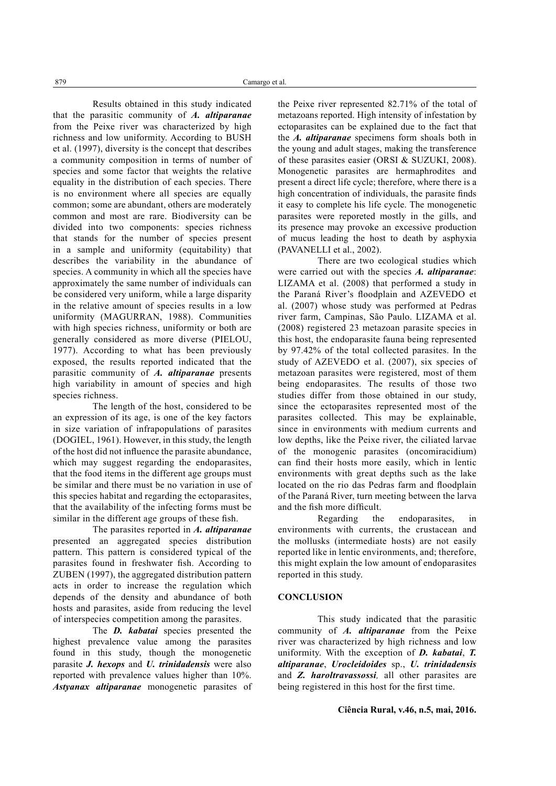Results obtained in this study indicated that the parasitic community of *A. altiparanae* from the Peixe river was characterized by high richness and low uniformity. According to BUSH et al. (1997), diversity is the concept that describes a community composition in terms of number of species and some factor that weights the relative equality in the distribution of each species. There is no environment where all species are equally common; some are abundant, others are moderately common and most are rare. Biodiversity can be divided into two components: species richness that stands for the number of species present in a sample and uniformity (equitability) that describes the variability in the abundance of species. A community in which all the species have approximately the same number of individuals can be considered very uniform, while a large disparity in the relative amount of species results in a low uniformity (MAGURRAN, 1988). Communities with high species richness, uniformity or both are generally considered as more diverse (PIELOU, 1977). According to what has been previously exposed, the results reported indicated that the parasitic community of *A. altiparanae* presents high variability in amount of species and high species richness.

The length of the host, considered to be an expression of its age, is one of the key factors in size variation of infrapopulations of parasites (DOGIEL, 1961). However, in this study, the length of the host did not influence the parasite abundance, which may suggest regarding the endoparasites, that the food items in the different age groups must be similar and there must be no variation in use of this species habitat and regarding the ectoparasites, that the availability of the infecting forms must be similar in the different age groups of these fish.

The parasites reported in *A. altiparanae* presented an aggregated species distribution pattern. This pattern is considered typical of the parasites found in freshwater fish. According to ZUBEN (1997), the aggregated distribution pattern acts in order to increase the regulation which depends of the density and abundance of both hosts and parasites, aside from reducing the level of interspecies competition among the parasites.

The *D. kabatai* species presented the highest prevalence value among the parasites found in this study, though the monogenetic parasite *J. hexops* and *U. trinidadensis* were also reported with prevalence values higher than 10%. *Astyanax altiparanae* monogenetic parasites of the Peixe river represented 82.71% of the total of metazoans reported. High intensity of infestation by ectoparasites can be explained due to the fact that the *A. altiparanae* specimens form shoals both in the young and adult stages, making the transference of these parasites easier (ORSI & SUZUKI, 2008). Monogenetic parasites are hermaphrodites and present a direct life cycle; therefore, where there is a high concentration of individuals, the parasite finds it easy to complete his life cycle. The monogenetic parasites were reporeted mostly in the gills, and its presence may provoke an excessive production of mucus leading the host to death by asphyxia (PAVANELLI et al., 2002).

There are two ecological studies which were carried out with the species *A. altiparanae*: LIZAMA et al. (2008) that performed a study in the Paraná River's floodplain and AZEVEDO et al. (2007) whose study was performed at Pedras river farm, Campinas, São Paulo. LIZAMA et al. (2008) registered 23 metazoan parasite species in this host, the endoparasite fauna being represented by 97.42% of the total collected parasites. In the study of AZEVEDO et al. (2007), six species of metazoan parasites were registered, most of them being endoparasites. The results of those two studies differ from those obtained in our study, since the ectoparasites represented most of the parasites collected. This may be explainable, since in environments with medium currents and low depths, like the Peixe river, the ciliated larvae of the monogenic parasites (oncomiracidium) can find their hosts more easily, which in lentic environments with great depths such as the lake located on the rio das Pedras farm and floodplain of the Paraná River, turn meeting between the larva and the fish more difficult.

Regarding the endoparasites, in environments with currents, the crustacean and the mollusks (intermediate hosts) are not easily reported like in lentic environments, and; therefore, this might explain the low amount of endoparasites reported in this study.

### **CONCLUSION**

This study indicated that the parasitic community of *A. altiparanae* from the Peixe river was characterized by high richness and low uniformity. With the exception of *D. kabatai*, *T. altiparanae*, *Urocleidoides* sp., *U. trinidadensis* and *Z. haroltravassossi,* all other parasites are being registered in this host for the first time.